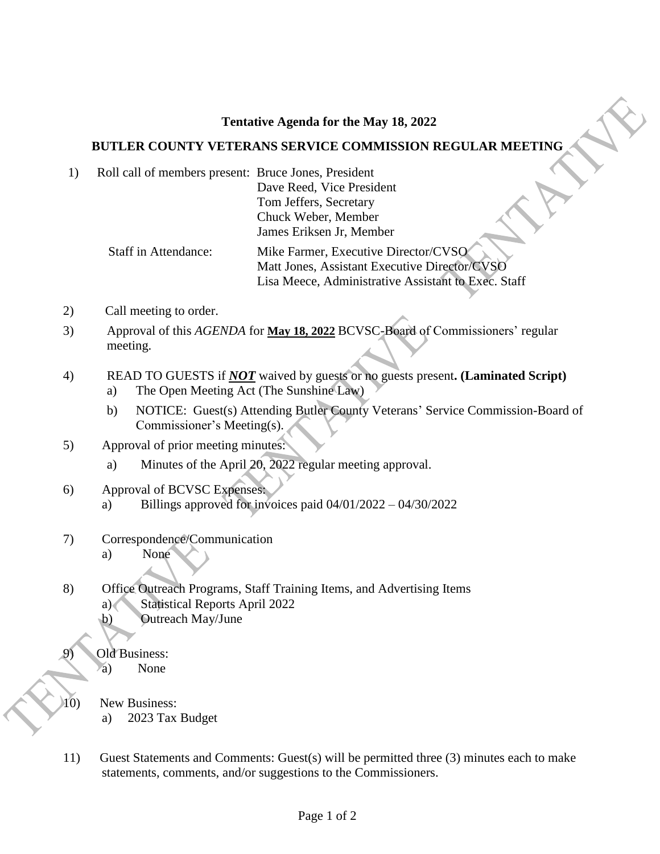## **Tentative Agenda for the May 18, 2022**

## **BUTLER COUNTY VETERANS SERVICE COMMISSION REGULAR MEETING**

1) Roll call of members present: Bruce Jones, President Dave Reed, Vice President Tom Jeffers, Secretary Chuck Weber, Member James Eriksen Jr, Member Staff in Attendance: Mike Farmer, Executive Director/CVSO

Matt Jones, Assistant Executive Director/CVSO Lisa Meece, Administrative Assistant to Exec. Staff

- 2) Call meeting to order.
- 3) Approval of this *AGENDA* for **May 18, 2022** BCVSC-Board of Commissioners' regular meeting.
- 4) READ TO GUESTS if *NOT* waived by guests or no guests present**. (Laminated Script)**
	- a) The Open Meeting Act (The Sunshine Law)
	- b) NOTICE: Guest(s) Attending Butler County Veterans' Service Commission-Board of Commissioner's Meeting(s).
- 5) Approval of prior meeting minutes:
	- a) Minutes of the April 20, 2022 regular meeting approval.
- 6) Approval of BCVSC Expenses:
	- a) Billings approved for invoices paid  $04/01/2022 04/30/2022$
- 7) Correspondence/Communication
	- a) None
- 8) Office Outreach Programs, Staff Training Items, and Advertising Items
	- a) Statistical Reports April 2022
	- b) Outreach May/June
	- Old Business:
		- a) None
- 10) New Business:

١

- a) 2023 Tax Budget
- 11) Guest Statements and Comments: Guest(s) will be permitted three (3) minutes each to make statements, comments, and/or suggestions to the Commissioners.